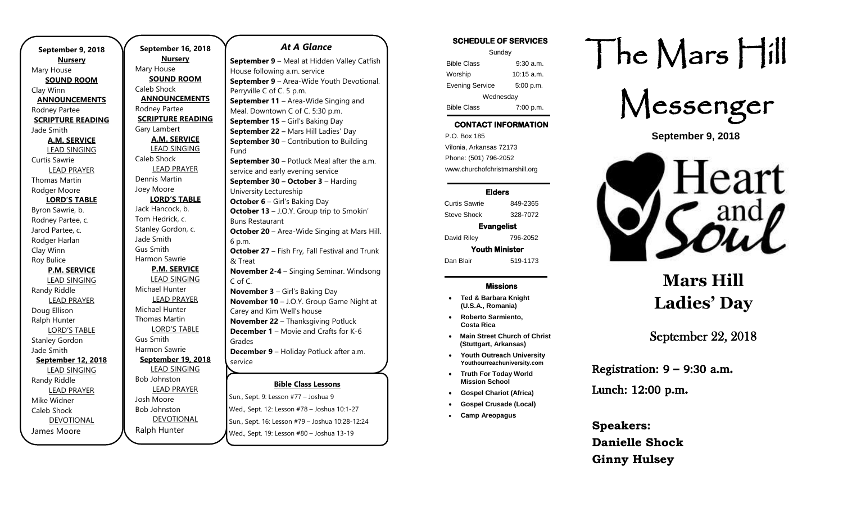**September 9, 2018 Nursery** Mary House **SOUND ROOM** Clay Winn **ANNOUNCEMENTS** Rodney Partee **SCRIPTURE READING** Jade Smith **A.M. SERVICE** LEAD SINGING Curtis Sawrie LEAD PRAYER Thomas Martin Rodger Moore **LORD'S TABLE** Byron Sawrie, b. Rodney Partee, c. Jarod Partee, c. Rodger Harlan Clay Winn Roy Bulice **P.M. SERVICE** LEAD SINGING Randy Riddle LEAD PRAYER Doug Ellison Ralph Hunter LORD'S TABLE Stanley Gordon Jade Smith **September 12, 2018** LEAD SINGING Randy Riddle LEAD PRAYER Mike Widner Caleb Shock DEVOTIONAL James Moore

**September 16, 2018 Nursery** Mary House **SOUND ROOM** Caleb Shock **ANNOUNCEMENTS** Rodney Partee **SCRIPTURE READING** Gary Lambert **A.M. SERVICE** LEAD SINGING Caleb Shock LEAD PRAYER Dennis Martin Joey Moore **LORD'S TABLE** Jack Hancock, b. Tom Hedrick, c. Stanley Gordon, c. Jade Smith Gus Smith Harmon Sawrie **P.M. SERVICE** LEAD SINGING Michael Hunter LEAD PRAYER Michael Hunter Thomas Martin LORD'S TABLE Gus Smith Harmon Sawrie **September 19, 2018** LEAD SINGING Bob Johnston LEAD PRAYER Josh Moore Bob Johnston DEVOTIONAL Ralph Hunter

#### *At A Glance*

**Bible Class Lessons** Sun., Sept. 9: Lesson #77 – Joshua 9 Wed., Sept. 12: Lesson #78 – Joshua 10:1-27 **September 9** – Meal at Hidden Valley Catfish House following a.m. service **September 9** – Area-Wide Youth Devotional. Perryville C of C. 5 p.m. **September 11** – Area-Wide Singing and Meal. Downtown C of C. 5:30 p.m. **September 15** – Girl's Baking Day **September 22 –** Mars Hill Ladies' Day **September 30 – Contribution to Building** Fund **September 30** – Potluck Meal after the a.m. service and early evening service **September 30 – October 3** – Harding University Lectureship **October 6** – Girl's Baking Day **October 13** – J.O.Y. Group trip to Smokin' Buns Restaurant **October 20** – Area-Wide Singing at Mars Hill. 6 p.m. **October 27** – Fish Fry, Fall Festival and Trunk & Treat **November 2-4** – Singing Seminar. Windsong C of C. **November 3** – Girl's Baking Day **November 10** – J.O.Y. Group Game Night at Carey and Kim Well's house **November 22** – Thanksgiving Potluck **December 1** – Movie and Crafts for K-6 Grades **December 9** – Holiday Potluck after a.m. service

Sun., Sept. 16: Lesson #79 – Joshua 10:28-12:24 Wed., Sept. 19: Lesson #80 – Joshua 13-19

#### **SCHEDULE OF SERVICES**  Sunday Bible Class 9:30 a.m. Worship 10:15 a.m. Evening Service 5:00 p.m. Wednesday Bible Class 7:00 p.m.

### **CONTACT INFORMATION**

. .o. Box 166<br>Vilonia, Arkansas 72173 P.O. Box 185 Phone: (501) 796-2052 www.churchofchristmarshill.org

#### **Elders**

Curtis Sawrie 849-2365 Steve Shock 328-7072

**Evangelist**  David Riley 796-2052 **Youth Minister** 

Dan Blair 519-1173

#### **Missions**

- **Ted & Barbara Knight (U.S.A., Romania)**
- **Roberto Sarmiento, Costa Rica**
- **Main Street Church of Christ (Stuttgart, Arkansas)**
- **Youth Outreach University Youthourreachuniversity.com**
- **Truth For Today World Mission School**
- **Gospel Chariot (Africa)**
- **Gospel Crusade (Local)**
- **Camp Areopagus**

# The Mars Hill



**September 9, 2018**



# **Mars Hill Ladies' Day**

## September 22, 2018

Registration:  $9 - 9:30$  a.m. Lunch: 12:00 p.m.

**Speakers: Danielle Shock Ginny Hulsey**